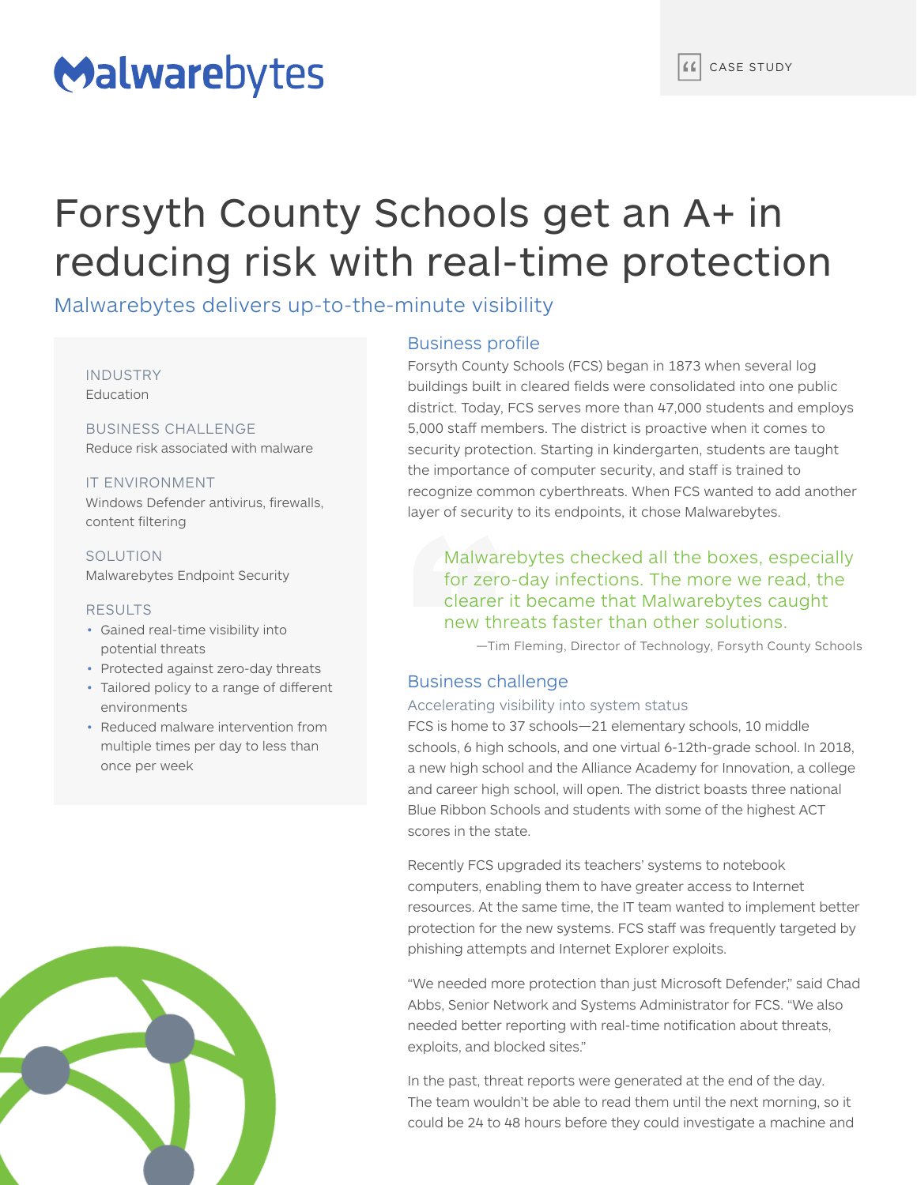# Malwarebytes

## Forsyth County Schools get an A+ in reducing risk with real-time protection

Malwarebytes delivers up-to-the-minute visibility

INDUSTRY **Education** 

BUSINESS CHALLENGE Reduce risk associated with malware

IT ENVIRONMENT Windows Defender antivirus, firewalls, content filtering

**SOLUTION** Malwarebytes Endpoint Security

#### RESULTS

- Gained real-time visibility into potential threats
- Protected against zero-day threats
- Tailored policy to a range of different environments
- Reduced malware intervention from multiple times per day to less than once per week



#### Business profile

Forsyth County Schools (FCS) began in 1873 when several log buildings built in cleared fields were consolidated into one public district. Today, FCS serves more than 47,000 students and employs 5,000 staff members. The district is proactive when it comes to security protection. Starting in kindergarten, students are taught the importance of computer security, and staff is trained to recognize common cyberthreats. When FCS wanted to add another layer of security to its endpoints, it chose Malwarebytes.

Malwarebytes checked all the boxes, especially for zero-day infections. The more we read, the clearer it became that Malwarebytes caught new threats faster than other solutions.

—Tim Fleming, Director of Technology, Forsyth County Schools

#### Business challenge

#### Accelerating visibility into system status

FCS is home to 37 schools—21 elementary schools, 10 middle schools, 6 high schools, and one virtual 6-12th-grade school. In 2018, a new high school and the Alliance Academy for Innovation, a college and career high school, will open. The district boasts three national Blue Ribbon Schools and students with some of the highest ACT scores in the state.

Recently FCS upgraded its teachers' systems to notebook computers, enabling them to have greater access to Internet resources. At the same time, the IT team wanted to implement better protection for the new systems. FCS staff was frequently targeted by phishing attempts and Internet Explorer exploits.

"We needed more protection than just Microsoft Defender," said Chad Abbs, Senior Network and Systems Administrator for FCS. "We also needed better reporting with real-time notification about threats, exploits, and blocked sites."

In the past, threat reports were generated at the end of the day. The team wouldn't be able to read them until the next morning, so it could be 24 to 48 hours before they could investigate a machine and